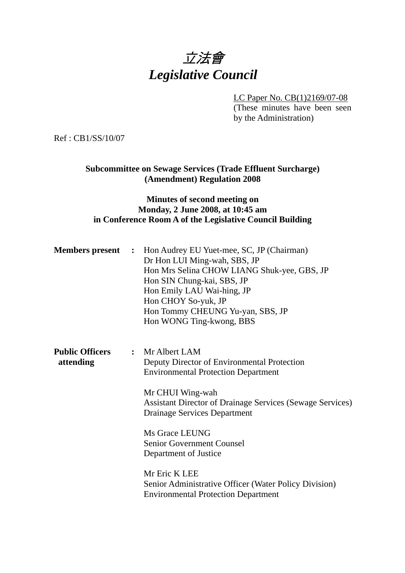# 立法會 *Legislative Council*

LC Paper No. CB(1)2169/07-08

(These minutes have been seen by the Administration)

Ref : CB1/SS/10/07

### **Subcommittee on Sewage Services (Trade Effluent Surcharge) (Amendment) Regulation 2008**

#### **Minutes of second meeting on Monday, 2 June 2008, at 10:45 am in Conference Room A of the Legislative Council Building**

|                                     | <b>Members present</b> : Hon Audrey EU Yuet-mee, SC, JP (Chairman)<br>Dr Hon LUI Ming-wah, SBS, JP<br>Hon Mrs Selina CHOW LIANG Shuk-yee, GBS, JP<br>Hon SIN Chung-kai, SBS, JP<br>Hon Emily LAU Wai-hing, JP<br>Hon CHOY So-yuk, JP<br>Hon Tommy CHEUNG Yu-yan, SBS, JP<br>Hon WONG Ting-kwong, BBS |
|-------------------------------------|------------------------------------------------------------------------------------------------------------------------------------------------------------------------------------------------------------------------------------------------------------------------------------------------------|
| <b>Public Officers</b><br>attending | : Mr Albert LAM<br>Deputy Director of Environmental Protection<br><b>Environmental Protection Department</b><br>Mr CHUI Wing-wah<br><b>Assistant Director of Drainage Services (Sewage Services)</b><br>Drainage Services Department                                                                 |
|                                     | Ms Grace LEUNG<br>Senior Government Counsel<br>Department of Justice                                                                                                                                                                                                                                 |
|                                     | Mr Eric K LEE<br>Senior Administrative Officer (Water Policy Division)<br><b>Environmental Protection Department</b>                                                                                                                                                                                 |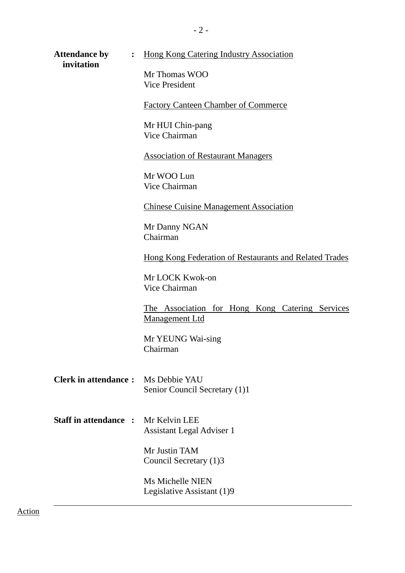| <b>Attendance by</b><br>invitation        | : Hong Kong Catering Industry Association                         |
|-------------------------------------------|-------------------------------------------------------------------|
|                                           | Mr Thomas WOO<br><b>Vice President</b>                            |
|                                           | <b>Factory Canteen Chamber of Commerce</b>                        |
|                                           | Mr HUI Chin-pang<br>Vice Chairman                                 |
|                                           | <b>Association of Restaurant Managers</b>                         |
|                                           | Mr WOO Lun<br>Vice Chairman                                       |
|                                           | <b>Chinese Cuisine Management Association</b>                     |
|                                           | Mr Danny NGAN<br>Chairman                                         |
|                                           | Hong Kong Federation of Restaurants and Related Trades            |
|                                           | Mr LOCK Kwok-on<br>Vice Chairman                                  |
|                                           | The Association for Hong Kong Catering Services<br>Management Ltd |
|                                           | Mr YEUNG Wai-sing<br>Chairman                                     |
| <b>Clerk in attendance:</b>               | Ms Debbie YAU<br>Senior Council Secretary (1)1                    |
| <b>Staff in attendance: Mr Kelvin LEE</b> | <b>Assistant Legal Adviser 1</b>                                  |
|                                           | Mr Justin TAM<br>Council Secretary (1)3                           |
|                                           | Ms Michelle NIEN<br>Legislative Assistant (1)9                    |

- 2 -

Action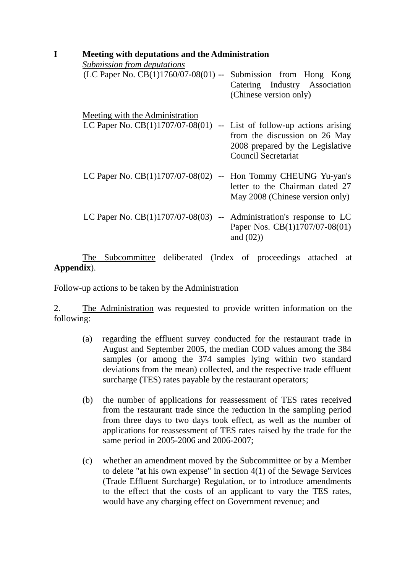| Meeting with deputations and the Administration |                                 |                                                                                                                                                                                                                |  |  |
|-------------------------------------------------|---------------------------------|----------------------------------------------------------------------------------------------------------------------------------------------------------------------------------------------------------------|--|--|
| Submission from deputations                     |                                 |                                                                                                                                                                                                                |  |  |
|                                                 |                                 | Catering Industry Association<br>(Chinese version only)                                                                                                                                                        |  |  |
|                                                 |                                 |                                                                                                                                                                                                                |  |  |
| LC Paper No. $CB(1)1707/07-08(01)$              |                                 | -- List of follow-up actions arising<br>from the discussion on 26 May<br>2008 prepared by the Legislative<br><b>Council Secretariat</b>                                                                        |  |  |
|                                                 |                                 | letter to the Chairman dated 27<br>May 2008 (Chinese version only)                                                                                                                                             |  |  |
|                                                 |                                 | Paper Nos. CB(1)1707/07-08(01)<br>and $(02)$                                                                                                                                                                   |  |  |
|                                                 | Meeting with the Administration | $(LC$ Paper No. $CB(1)1760/07-08(01)$ -- Submission from Hong Kong<br>LC Paper No. $CB(1)1707/07-08(02)$ -- Hon Tommy CHEUNG Yu-yan's<br>LC Paper No. $CB(1)1707/07-08(03)$ -- Administration's response to LC |  |  |

 The Subcommittee deliberated (Index of proceedings attached at **Appendix**).

Follow-up actions to be taken by the Administration

2. The Administration was requested to provide written information on the following:

- (a) regarding the effluent survey conducted for the restaurant trade in August and September 2005, the median COD values among the 384 samples (or among the 374 samples lying within two standard deviations from the mean) collected, and the respective trade effluent surcharge (TES) rates payable by the restaurant operators;
- (b) the number of applications for reassessment of TES rates received from the restaurant trade since the reduction in the sampling period from three days to two days took effect, as well as the number of applications for reassessment of TES rates raised by the trade for the same period in 2005-2006 and 2006-2007;
- (c) whether an amendment moved by the Subcommittee or by a Member to delete "at his own expense" in section 4(1) of the Sewage Services (Trade Effluent Surcharge) Regulation, or to introduce amendments to the effect that the costs of an applicant to vary the TES rates, would have any charging effect on Government revenue; and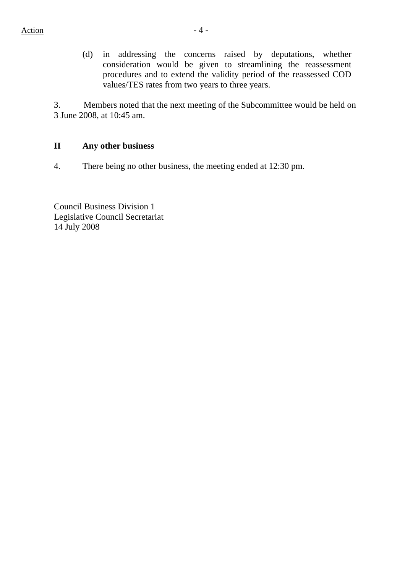(d) in addressing the concerns raised by deputations, whether consideration would be given to streamlining the reassessment procedures and to extend the validity period of the reassessed COD values/TES rates from two years to three years.

3. Members noted that the next meeting of the Subcommittee would be held on 3 June 2008, at 10:45 am.

## **II Any other business**

4. There being no other business, the meeting ended at 12:30 pm.

Council Business Division 1 Legislative Council Secretariat 14 July 2008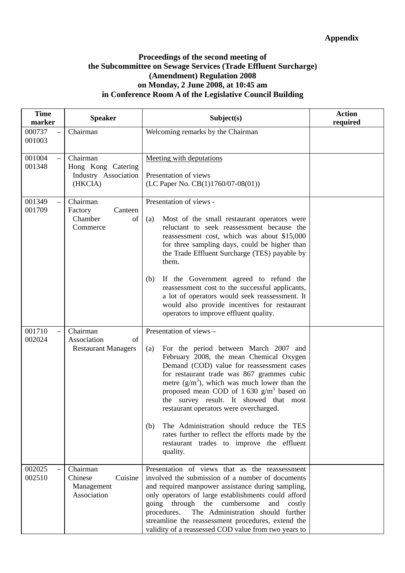#### **Proceedings of the second meeting of the Subcommittee on Sewage Services (Trade Effluent Surcharge) (Amendment) Regulation 2008 on Monday, 2 June 2008, at 10:45 am in Conference Room A of the Legislative Council Building**

| <b>Time</b><br>marker | <b>Speaker</b>                                                    | Subject(s)                                                                                                                                                                                                                                                                                                                                                                                                                                                                                                                                                         | <b>Action</b><br>required |
|-----------------------|-------------------------------------------------------------------|--------------------------------------------------------------------------------------------------------------------------------------------------------------------------------------------------------------------------------------------------------------------------------------------------------------------------------------------------------------------------------------------------------------------------------------------------------------------------------------------------------------------------------------------------------------------|---------------------------|
| 000737<br>001003      | Chairman                                                          | Welcoming remarks by the Chairman                                                                                                                                                                                                                                                                                                                                                                                                                                                                                                                                  |                           |
| 001004<br>001348      | Chairman<br>Hong Kong Catering<br>Industry Association<br>(HKCIA) | Meeting with deputations<br>Presentation of views<br>(LC Paper No. $CB(1)1760/07-08(01)$ )                                                                                                                                                                                                                                                                                                                                                                                                                                                                         |                           |
| 001349<br>001709      | Chairman<br>Canteen<br>Factory<br>Chamber<br>of<br>Commerce       | Presentation of views -<br>(a)<br>Most of the small restaurant operators were<br>reluctant to seek reassessment because the<br>reassessment cost, which was about \$15,000<br>for three sampling days, could be higher than<br>the Trade Effluent Surcharge (TES) payable by<br>them.<br>If the Government agreed to refund the<br>(b)<br>reassessment cost to the successful applicants,<br>a lot of operators would seek reassessment. It<br>would also provide incentives for restaurant<br>operators to improve effluent quality.                              |                           |
| 001710<br>002024      | Chairman<br>Association<br>of<br><b>Restaurant Managers</b>       | Presentation of views -<br>For the period between March 2007 and<br>(a)<br>February 2008, the mean Chemical Oxygen<br>Demand (COD) value for reassessment cases<br>for restaurant trade was 867 grammes cubic<br>metre $(g/m^3)$ , which was much lower than the<br>proposed mean COD of 1.630 $g/m3$ based on<br>the survey result. It showed that most<br>restaurant operators were overcharged.<br>The Administration should reduce the TES<br>(b)<br>rates further to reflect the efforts made by the<br>restaurant trades to improve the effluent<br>quality. |                           |
| 002025<br>002510      | Chairman<br>Chinese<br>Cuisine<br>Management<br>Association       | Presentation of views that as the reassessment<br>involved the submission of a number of documents<br>and required manpower assistance during sampling,<br>only operators of large establishments could afford<br>going through the cumbersome<br>and<br>costly<br>The Administration should further<br>procedures.<br>streamline the reassessment procedures, extend the<br>validity of a reassessed COD value from two years to                                                                                                                                  |                           |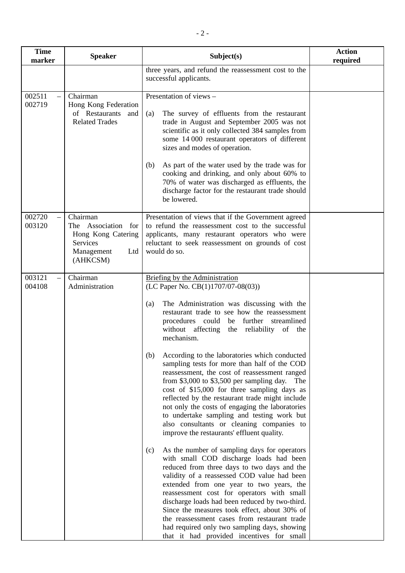| <b>Time</b><br>marker | <b>Speaker</b>                                                                                               | Subject(s)                                                                                                                                                                                                                                                                                                                                                                                                                                                                                                                                                                                                                                                                                                                                                                                                                                                                                                                                                                                                                                                                                                                                                                                                                                                                                                                                           | <b>Action</b><br>required |
|-----------------------|--------------------------------------------------------------------------------------------------------------|------------------------------------------------------------------------------------------------------------------------------------------------------------------------------------------------------------------------------------------------------------------------------------------------------------------------------------------------------------------------------------------------------------------------------------------------------------------------------------------------------------------------------------------------------------------------------------------------------------------------------------------------------------------------------------------------------------------------------------------------------------------------------------------------------------------------------------------------------------------------------------------------------------------------------------------------------------------------------------------------------------------------------------------------------------------------------------------------------------------------------------------------------------------------------------------------------------------------------------------------------------------------------------------------------------------------------------------------------|---------------------------|
|                       |                                                                                                              | three years, and refund the reassessment cost to the<br>successful applicants.                                                                                                                                                                                                                                                                                                                                                                                                                                                                                                                                                                                                                                                                                                                                                                                                                                                                                                                                                                                                                                                                                                                                                                                                                                                                       |                           |
| 002511<br>002719      | Chairman<br>Hong Kong Federation<br>of Restaurants<br>and<br><b>Related Trades</b>                           | Presentation of views -<br>The survey of effluents from the restaurant<br>(a)<br>trade in August and September 2005 was not<br>scientific as it only collected 384 samples from<br>some 14 000 restaurant operators of different<br>sizes and modes of operation.<br>As part of the water used by the trade was for<br>(b)<br>cooking and drinking, and only about 60% to<br>70% of water was discharged as effluents, the<br>discharge factor for the restaurant trade should<br>be lowered.                                                                                                                                                                                                                                                                                                                                                                                                                                                                                                                                                                                                                                                                                                                                                                                                                                                        |                           |
| 002720<br>003120      | Chairman<br>The Association<br>for<br>Hong Kong Catering<br><b>Services</b><br>Management<br>Ltd<br>(AHKCSM) | Presentation of views that if the Government agreed<br>to refund the reassessment cost to the successful<br>applicants, many restaurant operators who were<br>reluctant to seek reassessment on grounds of cost<br>would do so.                                                                                                                                                                                                                                                                                                                                                                                                                                                                                                                                                                                                                                                                                                                                                                                                                                                                                                                                                                                                                                                                                                                      |                           |
| 003121<br>004108      | Chairman<br>Administration                                                                                   | <b>Briefing by the Administration</b><br>(LC Paper No. CB(1)1707/07-08(03))<br>The Administration was discussing with the<br>(a)<br>restaurant trade to see how the reassessment<br>procedures could<br>further streamlined<br>be<br>without affecting<br>the reliability of the<br>mechanism.<br>According to the laboratories which conducted<br>(b)<br>sampling tests for more than half of the COD<br>reassessment, the cost of reassessment ranged<br>from $$3,000$ to $$3,500$ per sampling day.<br>The<br>cost of \$15,000 for three sampling days as<br>reflected by the restaurant trade might include<br>not only the costs of engaging the laboratories<br>to undertake sampling and testing work but<br>also consultants or cleaning companies to<br>improve the restaurants' effluent quality.<br>As the number of sampling days for operators<br>(c)<br>with small COD discharge loads had been<br>reduced from three days to two days and the<br>validity of a reassessed COD value had been<br>extended from one year to two years, the<br>reassessment cost for operators with small<br>discharge loads had been reduced by two-third.<br>Since the measures took effect, about 30% of<br>the reassessment cases from restaurant trade<br>had required only two sampling days, showing<br>that it had provided incentives for small |                           |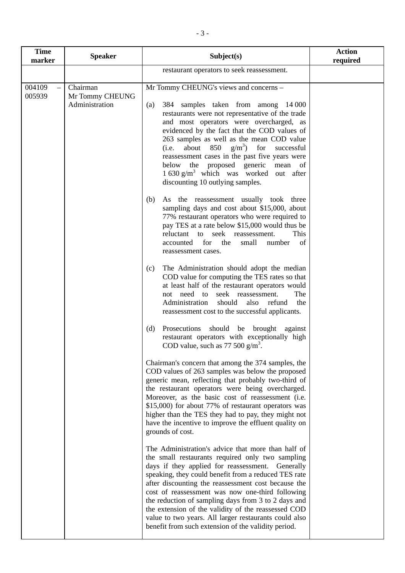| <b>Time</b><br>marker        | <b>Speaker</b>                                | Subject(s)                                                                                                                                                                                                                                                                                                                                                                                                                                                                                                                                                  | <b>Action</b><br>required |
|------------------------------|-----------------------------------------------|-------------------------------------------------------------------------------------------------------------------------------------------------------------------------------------------------------------------------------------------------------------------------------------------------------------------------------------------------------------------------------------------------------------------------------------------------------------------------------------------------------------------------------------------------------------|---------------------------|
|                              |                                               | restaurant operators to seek reassessment.                                                                                                                                                                                                                                                                                                                                                                                                                                                                                                                  |                           |
| 004109<br>$\equiv$<br>005939 | Chairman<br>Mr Tommy CHEUNG<br>Administration | Mr Tommy CHEUNG's views and concerns -<br>384 samples taken from among 14 000<br>(a)<br>restaurants were not representative of the trade<br>and most operators were overcharged, as<br>evidenced by the fact that the COD values of<br>263 samples as well as the mean COD value<br>about 850 $g/m^3$ for<br>successful<br>(i.e.<br>reassessment cases in the past five years were<br>below the proposed generic mean of<br>$1630 \text{ g/m}^3$ which was worked out after<br>discounting 10 outlying samples.                                             |                           |
|                              |                                               | (b)<br>As the reassessment usually took three<br>sampling days and cost about \$15,000, about<br>77% restaurant operators who were required to<br>pay TES at a rate below \$15,000 would thus be<br>This<br>reluctant to seek reassessment.<br>accounted for the<br>small<br>number<br>of<br>reassessment cases.                                                                                                                                                                                                                                            |                           |
|                              |                                               | The Administration should adopt the median<br>(c)<br>COD value for computing the TES rates so that<br>at least half of the restaurant operators would<br>not need to<br>seek reassessment.<br>The<br>Administration<br>should<br>also<br>refund<br>the<br>reassessment cost to the successful applicants.                                                                                                                                                                                                                                                   |                           |
|                              |                                               | Prosecutions should be brought against<br>(d)<br>restaurant operators with exceptionally high<br>COD value, such as $77,500 \text{ g/m}^3$ .                                                                                                                                                                                                                                                                                                                                                                                                                |                           |
|                              |                                               | Chairman's concern that among the 374 samples, the<br>COD values of 263 samples was below the proposed<br>generic mean, reflecting that probably two-third of<br>the restaurant operators were being overcharged.<br>Moreover, as the basic cost of reassessment (i.e.<br>\$15,000) for about 77% of restaurant operators was<br>higher than the TES they had to pay, they might not<br>have the incentive to improve the effluent quality on<br>grounds of cost.                                                                                           |                           |
|                              |                                               | The Administration's advice that more than half of<br>the small restaurants required only two sampling<br>days if they applied for reassessment. Generally<br>speaking, they could benefit from a reduced TES rate<br>after discounting the reassessment cost because the<br>cost of reassessment was now one-third following<br>the reduction of sampling days from 3 to 2 days and<br>the extension of the validity of the reassessed COD<br>value to two years. All larger restaurants could also<br>benefit from such extension of the validity period. |                           |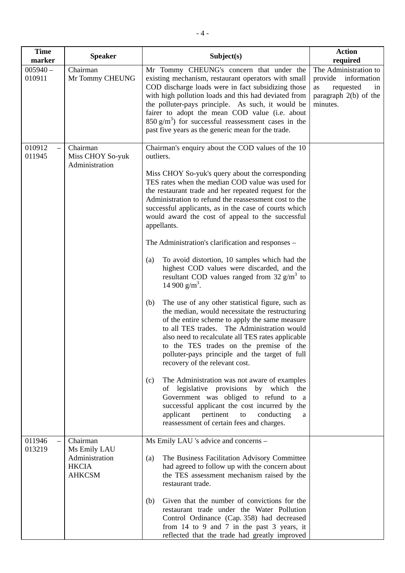| <b>Time</b><br>marker | <b>Speaker</b>                                                              | Subject(s)                                                                                                                                                                                                                                                                                                                                                                                                                                                                                                                                                                                                                                                                                                                                                                                                                                                                                                                                                                                                                                                                                                                                                                                                                                                                                                                                                   | <b>Action</b><br>required                                                                                  |
|-----------------------|-----------------------------------------------------------------------------|--------------------------------------------------------------------------------------------------------------------------------------------------------------------------------------------------------------------------------------------------------------------------------------------------------------------------------------------------------------------------------------------------------------------------------------------------------------------------------------------------------------------------------------------------------------------------------------------------------------------------------------------------------------------------------------------------------------------------------------------------------------------------------------------------------------------------------------------------------------------------------------------------------------------------------------------------------------------------------------------------------------------------------------------------------------------------------------------------------------------------------------------------------------------------------------------------------------------------------------------------------------------------------------------------------------------------------------------------------------|------------------------------------------------------------------------------------------------------------|
| $005940 -$<br>010911  | Chairman<br>Mr Tommy CHEUNG                                                 | Mr Tommy CHEUNG's concern that under the<br>existing mechanism, restaurant operators with small<br>COD discharge loads were in fact subsidizing those<br>with high pollution loads and this had deviated from<br>the polluter-pays principle. As such, it would be<br>fairer to adopt the mean COD value (i.e. about<br>$850 \text{ g/m}^3$ ) for successful reassessment cases in the<br>past five years as the generic mean for the trade.                                                                                                                                                                                                                                                                                                                                                                                                                                                                                                                                                                                                                                                                                                                                                                                                                                                                                                                 | The Administration to<br>provide information<br>requested<br>as<br>1n<br>paragraph 2(b) of the<br>minutes. |
| 010912<br>011945      | Chairman<br>Miss CHOY So-yuk<br>Administration                              | Chairman's enquiry about the COD values of the 10<br>outliers.<br>Miss CHOY So-yuk's query about the corresponding<br>TES rates when the median COD value was used for<br>the restaurant trade and her repeated request for the<br>Administration to refund the reassessment cost to the<br>successful applicants, as in the case of courts which<br>would award the cost of appeal to the successful<br>appellants.<br>The Administration's clarification and responses –<br>To avoid distortion, 10 samples which had the<br>(a)<br>highest COD values were discarded, and the<br>resultant COD values ranged from $32 \text{ g/m}^3$ to<br>14 900 $g/m^3$ .<br>The use of any other statistical figure, such as<br>(b)<br>the median, would necessitate the restructuring<br>of the entire scheme to apply the same measure<br>to all TES trades. The Administration would<br>also need to recalculate all TES rates applicable<br>to the TES trades on the premise of the<br>polluter-pays principle and the target of full<br>recovery of the relevant cost.<br>The Administration was not aware of examples<br>(c)<br>of legislative provisions by which the<br>Government was obliged to refund to a<br>successful applicant the cost incurred by the<br>applicant<br>pertinent<br>to<br>conducting<br>a<br>reassessment of certain fees and charges. |                                                                                                            |
| 011946<br>013219      | Chairman<br>Ms Emily LAU<br>Administration<br><b>HKCIA</b><br><b>AHKCSM</b> | Ms Emily LAU 's advice and concerns -<br>The Business Facilitation Advisory Committee<br>(a)<br>had agreed to follow up with the concern about<br>the TES assessment mechanism raised by the<br>restaurant trade.<br>Given that the number of convictions for the<br>(b)<br>restaurant trade under the Water Pollution<br>Control Ordinance (Cap. 358) had decreased<br>from 14 to 9 and 7 in the past 3 years, it<br>reflected that the trade had greatly improved                                                                                                                                                                                                                                                                                                                                                                                                                                                                                                                                                                                                                                                                                                                                                                                                                                                                                          |                                                                                                            |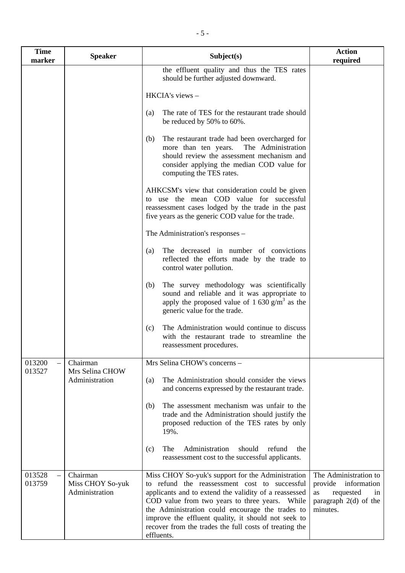| <b>Time</b><br>marker | <b>Speaker</b>                                 | Subject(s)                                                                                                                                                                                                                                                                                                                                                                                       | <b>Action</b><br>required                                                                                       |
|-----------------------|------------------------------------------------|--------------------------------------------------------------------------------------------------------------------------------------------------------------------------------------------------------------------------------------------------------------------------------------------------------------------------------------------------------------------------------------------------|-----------------------------------------------------------------------------------------------------------------|
|                       |                                                | the effluent quality and thus the TES rates<br>should be further adjusted downward.                                                                                                                                                                                                                                                                                                              |                                                                                                                 |
|                       |                                                | HKCIA's views -                                                                                                                                                                                                                                                                                                                                                                                  |                                                                                                                 |
|                       |                                                | The rate of TES for the restaurant trade should<br>(a)<br>be reduced by 50% to 60%.                                                                                                                                                                                                                                                                                                              |                                                                                                                 |
|                       |                                                | The restaurant trade had been overcharged for<br>(b)<br>more than ten years.<br>The Administration<br>should review the assessment mechanism and<br>consider applying the median COD value for<br>computing the TES rates.                                                                                                                                                                       |                                                                                                                 |
|                       |                                                | AHKCSM's view that consideration could be given<br>to use the mean COD value for successful<br>reassessment cases lodged by the trade in the past<br>five years as the generic COD value for the trade.                                                                                                                                                                                          |                                                                                                                 |
|                       |                                                | The Administration's responses –                                                                                                                                                                                                                                                                                                                                                                 |                                                                                                                 |
|                       |                                                | The decreased in number of convictions<br>(a)<br>reflected the efforts made by the trade to<br>control water pollution.                                                                                                                                                                                                                                                                          |                                                                                                                 |
|                       |                                                | The survey methodology was scientifically<br>(b)<br>sound and reliable and it was appropriate to<br>apply the proposed value of $1\,630\,\mathrm{g/m^3}$ as the<br>generic value for the trade.                                                                                                                                                                                                  |                                                                                                                 |
|                       |                                                | The Administration would continue to discuss<br>(c)<br>with the restaurant trade to streamline the<br>reassessment procedures.                                                                                                                                                                                                                                                                   |                                                                                                                 |
| 013200<br>013527      | Chairman<br>Mrs Selina CHOW                    | Mrs Selina CHOW's concerns -                                                                                                                                                                                                                                                                                                                                                                     |                                                                                                                 |
|                       | Administration                                 | The Administration should consider the views<br>(a)<br>and concerns expressed by the restaurant trade.                                                                                                                                                                                                                                                                                           |                                                                                                                 |
|                       |                                                | The assessment mechanism was unfair to the<br>(b)<br>trade and the Administration should justify the<br>proposed reduction of the TES rates by only<br>19%.                                                                                                                                                                                                                                      |                                                                                                                 |
|                       |                                                | Administration<br>should<br>refund<br>The<br>(c)<br>the<br>reassessment cost to the successful applicants.                                                                                                                                                                                                                                                                                       |                                                                                                                 |
| 013528<br>013759      | Chairman<br>Miss CHOY So-yuk<br>Administration | Miss CHOY So-yuk's support for the Administration<br>to refund the reassessment cost to successful<br>applicants and to extend the validity of a reassessed<br>COD value from two years to three years. While<br>the Administration could encourage the trades to<br>improve the effluent quality, it should not seek to<br>recover from the trades the full costs of treating the<br>effluents. | The Administration to<br>provide<br>information<br>requested<br>as<br>in<br>paragraph $2(d)$ of the<br>minutes. |